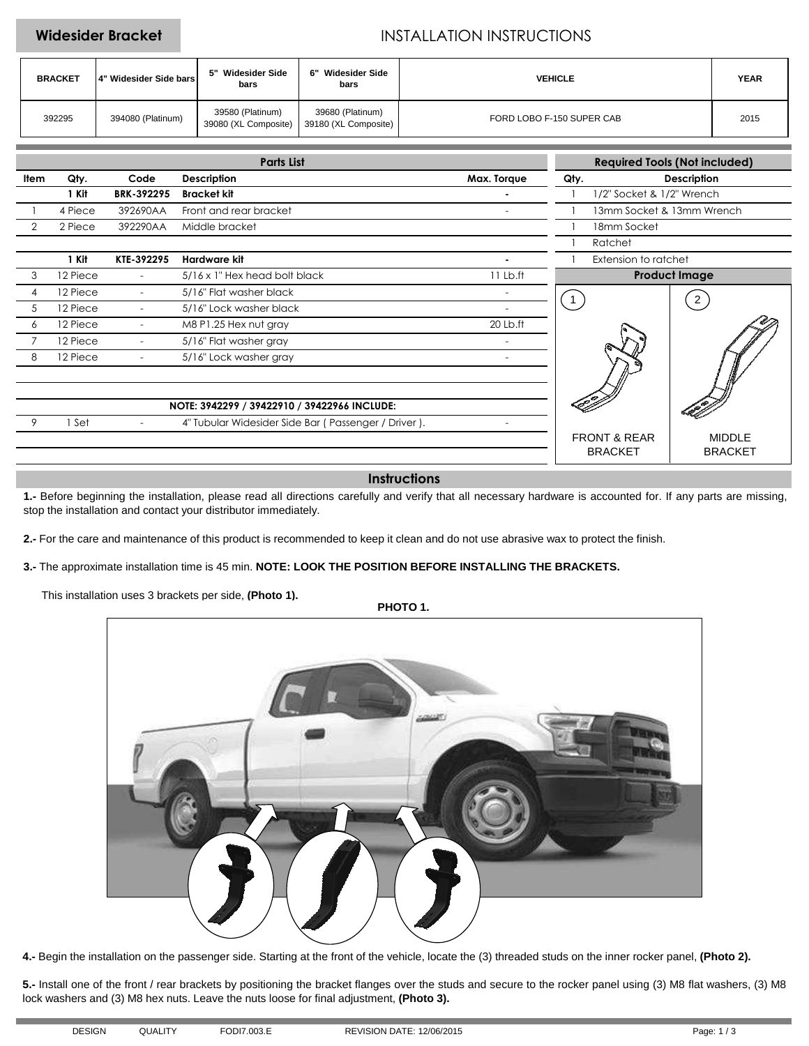## **Widesider Bracket INSTALLATION INSTRUCTIONS**

| <b>BRACKET</b> | 14" Widesider Side bars | Widesider Side<br>bars                   | <b>Widesider Side</b><br>ճ"<br>bars      | <b>VEHICLE</b>            | <b>YEAR</b> |
|----------------|-------------------------|------------------------------------------|------------------------------------------|---------------------------|-------------|
| 392295         | 394080 (Platinum)       | 39580 (Platinum)<br>39080 (XL Composite) | 39680 (Platinum)<br>39180 (XL Composite) | FORD LOBO F-150 SUPER CAB | 2015        |

|      | <b>Parts List</b>                            |                          |                                                     |                          |                            | <b>Required Tools (Not included)</b> |  |  |
|------|----------------------------------------------|--------------------------|-----------------------------------------------------|--------------------------|----------------------------|--------------------------------------|--|--|
| Item | Qty.                                         | Code                     | <b>Description</b>                                  | Max. Torque              | <b>Description</b><br>Qty. |                                      |  |  |
|      | 1 Kit                                        | <b>BRK-392295</b>        | <b>Bracket kit</b>                                  |                          | 1/2" Socket & 1/2" Wrench  |                                      |  |  |
|      | 4 Piece                                      | 392690AA                 | Front and rear bracket                              | $\overline{\phantom{a}}$ | 13mm Socket & 13mm Wrench  |                                      |  |  |
|      | 2 Piece                                      | 392290AA                 | Middle bracket                                      |                          | 18mm Socket                |                                      |  |  |
|      |                                              |                          |                                                     |                          | Ratchet                    |                                      |  |  |
|      | 1 Kit                                        | KTE-392295               | Hardware kit                                        |                          | Extension to ratchet       |                                      |  |  |
| 3    | 12 Piece                                     | $\overline{\phantom{a}}$ | 5/16 x 1" Hex head bolt black                       | $11$ Lb.ft               | <b>Product Image</b>       |                                      |  |  |
| 4    | 12 Piece                                     | $\overline{\phantom{a}}$ | 5/16" Flat washer black                             | ۰                        |                            | $\overline{2}$                       |  |  |
| 5    | 12 Piece                                     |                          | 5/16" Lock washer black                             |                          |                            |                                      |  |  |
| 6    | 12 Piece                                     | $\overline{\phantom{a}}$ | M8 P1.25 Hex nut gray                               | 20 Lb.ft                 |                            |                                      |  |  |
|      | 12 Piece                                     |                          | 5/16" Flat washer gray                              |                          |                            |                                      |  |  |
| 8    | 12 Piece                                     | $\overline{\phantom{0}}$ | 5/16" Lock washer gray                              |                          |                            |                                      |  |  |
|      |                                              |                          |                                                     |                          |                            |                                      |  |  |
|      |                                              |                          |                                                     |                          |                            |                                      |  |  |
|      | NOTE: 3942299 / 39422910 / 39422966 INCLUDE: |                          |                                                     |                          |                            |                                      |  |  |
|      | Set                                          |                          | 4" Tubular Widesider Side Bar (Passenger / Driver). |                          |                            |                                      |  |  |
|      |                                              |                          |                                                     |                          | <b>FRONT &amp; REAR</b>    | <b>MIDDLE</b>                        |  |  |
|      |                                              |                          |                                                     |                          | <b>BRACKET</b>             | <b>BRACKET</b>                       |  |  |

## **Instructions**

**1.-** Before beginning the installation, please read all directions carefully and verify that all necessary hardware is accounted for. If any parts are missing, stop the installation and contact your distributor immediately.

**2.-** For the care and maintenance of this product is recommended to keep it clean and do not use abrasive wax to protect the finish.

**3.-** The approximate installation time is 45 min. **NOTE: LOOK THE POSITION BEFORE INSTALLING THE BRACKETS.**

This installation uses 3 brackets per side, **(Photo 1).**

**PHOTO 1.**



**4.-** Begin the installation on the passenger side. Starting at the front of the vehicle, locate the (3) threaded studs on the inner rocker panel, **(Photo 2).**

**5.-** Install one of the front / rear brackets by positioning the bracket flanges over the studs and secure to the rocker panel using (3) M8 flat washers, (3) M8 lock washers and (3) M8 hex nuts. Leave the nuts loose for final adjustment, **(Photo 3).**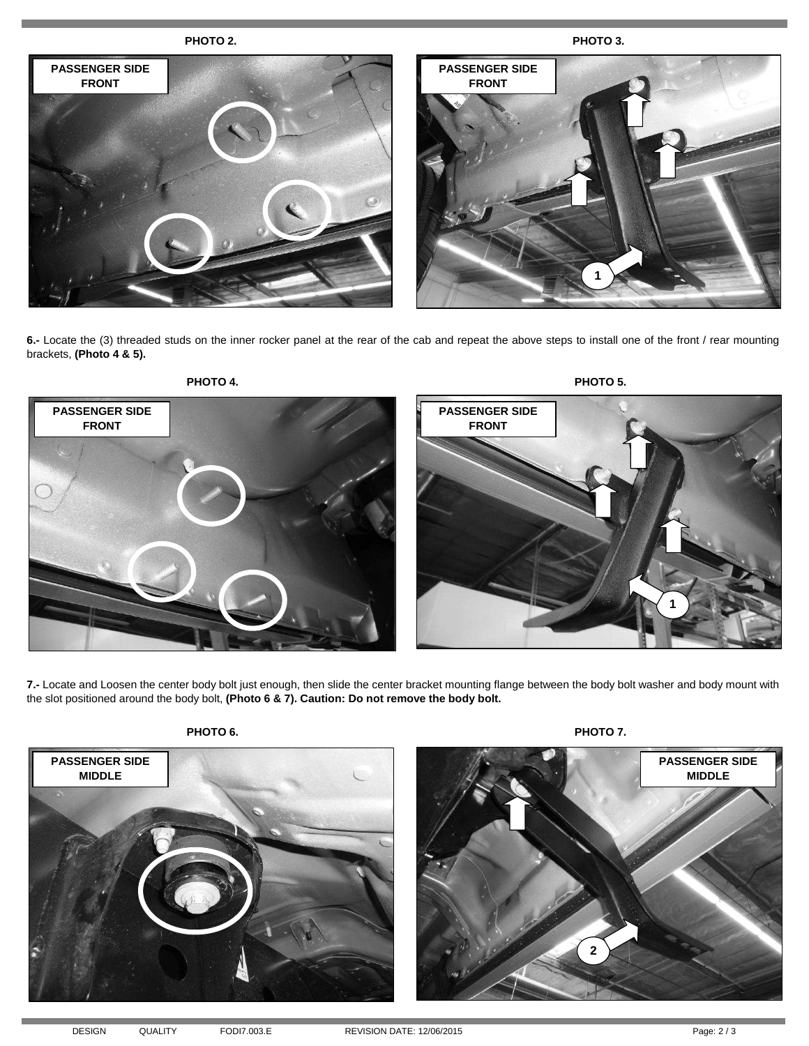

**6.-** Locate the (3) threaded studs on the inner rocker panel at the rear of the cab and repeat the above steps to install one of the front / rear mounting brackets, **(Photo 4 & 5).**



**7.-** Locate and Loosen the center body bolt just enough, then slide the center bracket mounting flange between the body bolt washer and body mount with the slot positioned around the body bolt, **(Photo 6 & 7). Caution: Do not remove the body bolt.**



**PHOTO 6. PHOTO 7.**

**MIDDLE**